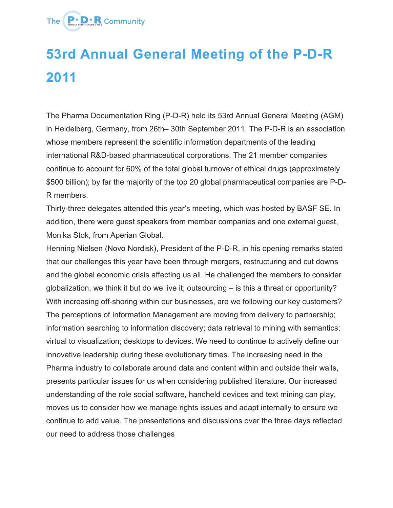

## **53rd Annual General Meeting of the P-D-R 2011**

The Pharma Documentation Ring (P-D-R) held its 53rd Annual General Meeting (AGM) in Heidelberg, Germany, from 26th– 30th September 2011. The P-D-R is an association whose members represent the scientific information departments of the leading international R&D-based pharmaceutical corporations. The 21 member companies continue to account for 60% of the total global turnover of ethical drugs (approximately \$500 billion); by far the majority of the top 20 global pharmaceutical companies are P-D-R members.

Thirty-three delegates attended this year's meeting, which was hosted by BASF SE. In addition, there were guest speakers from member companies and one external guest, Monika Stok, from Aperian Global.

Henning Nielsen (Novo Nordisk), President of the P-D-R, in his opening remarks stated that our challenges this year have been through mergers, restructuring and cut downs and the global economic crisis affecting us all. He challenged the members to consider globalization, we think it but do we live it; outsourcing – is this a threat or opportunity? With increasing off-shoring within our businesses, are we following our key customers? The perceptions of Information Management are moving from delivery to partnership; information searching to information discovery; data retrieval to mining with semantics; virtual to visualization; desktops to devices. We need to continue to actively define our innovative leadership during these evolutionary times. The increasing need in the Pharma industry to collaborate around data and content within and outside their walls, presents particular issues for us when considering published literature. Our increased understanding of the role social software, handheld devices and text mining can play, moves us to consider how we manage rights issues and adapt internally to ensure we continue to add value. The presentations and discussions over the three days reflected our need to address those challenges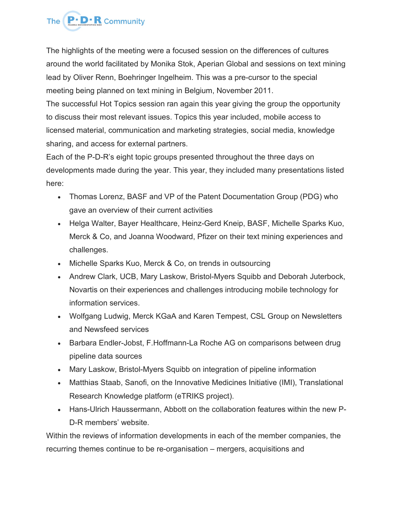

The highlights of the meeting were a focused session on the differences of cultures around the world facilitated by Monika Stok, Aperian Global and sessions on text mining lead by Oliver Renn, Boehringer Ingelheim. This was a pre-cursor to the special meeting being planned on text mining in Belgium, November 2011.

The successful Hot Topics session ran again this year giving the group the opportunity to discuss their most relevant issues. Topics this year included, mobile access to licensed material, communication and marketing strategies, social media, knowledge sharing, and access for external partners.

Each of the P-D-R's eight topic groups presented throughout the three days on developments made during the year. This year, they included many presentations listed here:

- Thomas Lorenz, BASF and VP of the Patent Documentation Group (PDG) who gave an overview of their current activities
- Helga Walter, Bayer Healthcare, Heinz-Gerd Kneip, BASF, Michelle Sparks Kuo, Merck & Co, and Joanna Woodward, Pfizer on their text mining experiences and challenges.
- Michelle Sparks Kuo, Merck & Co, on trends in outsourcing
- Andrew Clark, UCB, Mary Laskow, Bristol-Myers Squibb and Deborah Juterbock, Novartis on their experiences and challenges introducing mobile technology for information services.
- Wolfgang Ludwig, Merck KGaA and Karen Tempest, CSL Group on Newsletters and Newsfeed services
- Barbara Endler-Jobst, F.Hoffmann-La Roche AG on comparisons between drug pipeline data sources
- Mary Laskow, Bristol-Myers Squibb on integration of pipeline information
- Matthias Staab, Sanofi, on the Innovative Medicines Initiative (IMI), Translational Research Knowledge platform (eTRIKS project).
- Hans-Ulrich Haussermann, Abbott on the collaboration features within the new P-D-R members' website.

Within the reviews of information developments in each of the member companies, the recurring themes continue to be re-organisation – mergers, acquisitions and